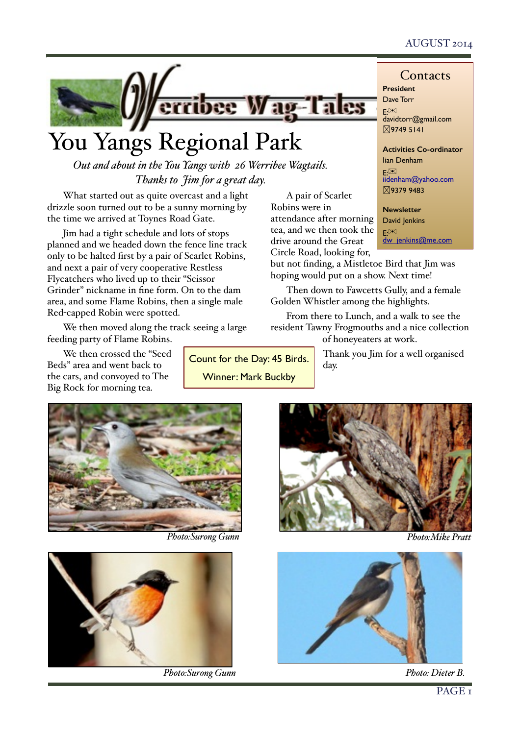# AUGUST 2014



# You Yangs Regional Park

*Out and about in the You Yangs with 26 Werribee Wagtails. Thanks to Jim for a great day.*

What started out as quite overcast and a light drizzle soon turned out to be a sunny morning by the time we arrived at Toynes Road Gate.

Jim had a tight schedule and lots of stops planned and we headed down the fence line track only to be halted first by a pair of Scarlet Robins, and next a pair of very cooperative Restless Flycatchers who lived up to their "Scissor Grinder" nickname in fine form. On to the dam area, and some Flame Robins, then a single male Red-capped Robin were spotted.

We then moved along the track seeing a large feeding party of Flame Robins.

We then crossed the "Seed Beds" area and went back to the cars, and convoyed to The Big Rock for morning tea.

Count for the Day: 45 Birds. Winner: Mark Buckby

**President** Dave Torr E: **L**.<br>davidtorr@gmail.com �9749 5141

**Activities Co-ordinator** Iian Denham E:✉ [iidenham@yahoo.com](mailto:davidtorr@gmail.com) �9379 9483

**Newsletter** David Jenkins E: $\boxtimes$ <br>dw\_jenkins@me.com

Circle Road, looking for, but not finding, a Mistletoe Bird that Jim was hoping would put on a show. Next time!

A pair of Scarlet

attendance after morning tea, and we then took the drive around the Great

Robins were in

Then down to Fawcetts Gully, and a female Golden Whistler among the highlights.

From there to Lunch, and a walk to see the resident Tawny Frogmouths and a nice collection of honeyeaters at work.

> Thank you Jim for a well organised day.



*Photo:Surong Gunn*



*Photo:Surong Gunn Photo: Dieter B.*



*Photo:Mike Pratt*

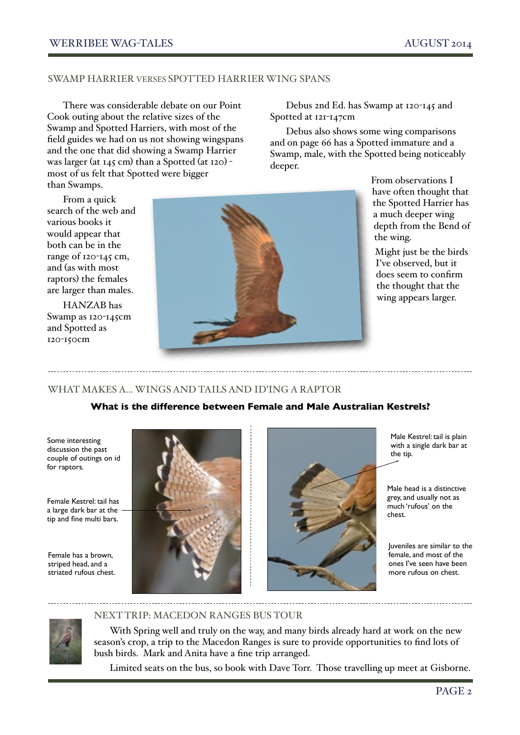#### SWAMP HARRIER VERSES SPOTTED HARRIER WING SPANS

There was considerable debate on our Point Cook outing about the relative sizes of the Swamp and Spotted Harriers, with most of the field guides we had on us not showing wingspans and the one that did showing a Swamp Harrier was larger (at 145 cm) than a Spotted (at 120) most of us felt that Spotted were bigger than Swamps. !

Debus 2nd Ed. has Swamp at 120-145 and Spotted at 121-147cm

Debus also shows some wing comparisons and on page 66 has a Spotted immature and a Swamp, male, with the Spotted being noticeably deeper.

> From observations I have often thought that the Spotted Harrier has a much deeper wing depth from the Bend of the wing.

Might just be the birds I've observed, but it does seem to confirm the thought that the wing appears larger.

From a quick search of the web and various books it would appear that both can be in the range of 120-145 cm, and (as with most raptors) the females are larger than males.

HANZAB has Swamp as 120-145cm and Spotted as 120-150cm



### WHAT MAKES A... WINGS AND TAILS AND ID'ING A RAPTOR

### **What is the difference between Female and Male Australian Kestrels?**

Some interesting discussion the past couple of outings on id for raptors.

Female Kestrel: tail has a large dark bar at the tip and fine multi bars.

Female has a brown, striped head, and a striated rufous chest.





Male Kestrel: tail is plain with a single dark bar at the tip.

Male head is a distinctive grey, and usually not as much 'rufous' on the chest.

Juveniles are similar to the female, and most of the ones I've seen have been more rufous on chest.

### NEXT TRIP: MACEDON RANGES BUS TOUR

With Spring well and truly on the way, and many birds already hard at work on the new season's crop, a trip to the Macedon Ranges is sure to provide opportunities to find lots of bush birds. Mark and Anita have a fine trip arranged.

Limited seats on the bus, so book with Dave Torr. Those travelling up meet at Gisborne.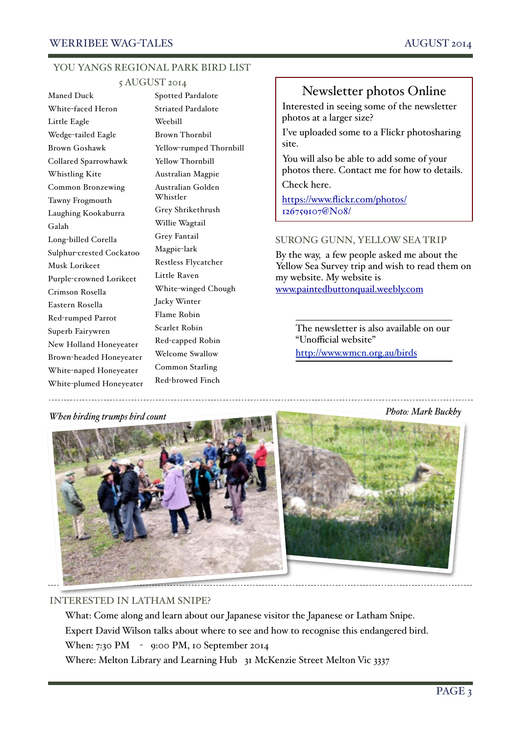#### YOU YANGS REGIONAL PARK BIRD LIST

#### 5 AUGUST 2014

Maned Duck White-faced Heron Little Eagle Wedge-tailed Eagle Brown Goshawk Collared Sparrowhawk Whistling Kite Common Bronzewing Tawny Frogmouth Laughing Kookaburra Galah Long-billed Corella Sulphur-crested Cockatoo Musk Lorikeet Purple-crowned Lorikeet Crimson Rosella Eastern Rosella Red-rumped Parrot Superb Fairywren New Holland Honeyeater Brown-headed Honeyeater White-naped Honeyeater White-plumed Honeyeater

Spotted Pardalote Striated Pardalote Weebill Brown Thornbil Yellow-rumped Thornbill Yellow Thornbill Australian Magpie Australian Golden Whistler Grey Shrikethrush Willie Wagtail Grey Fantail Magpie-lark Restless Flycatcher Little Raven White-winged Chough Jacky Winter Flame Robin Scarlet Robin Red-capped Robin Welcome Swallow Common Starling Red-browed Finch

# Newsletter photos Online

Interested in seeing some of the newsletter photos at a larger size?

I've uploaded some to a Flickr photosharing site.

You will also be able to add some of your photos there. Contact me for how to details. Check here.

[https://www.flickr.com/photos/](http://livepage.apple.com/) 126759107@N08/

#### SURONG GUNN, YELLOW SEA TRIP

By the way, a few people asked me about the Yellow Sea Survey trip and wish to read them on my website. My website is [www.paintedbuttonquail.weebly.com](http://www.paintedbuttonquail.weebly.com/)

The newsletter is also available on our "Unofficial website" <http://www.wmcn.org.au/birds>

*Photo: Mark Buckby When birding trumps bird count*



### INTERESTED IN LATHAM SNIPE?

What: Come along and learn about our Japanese visitor the Japanese or Latham Snipe. Expert David Wilson talks about where to see and how to recognise this endangered bird. When: 7:30 PM - 9:00 PM, 10 September 2014

Where: Melton Library and Learning Hub 31 McKenzie Street Melton Vic 3337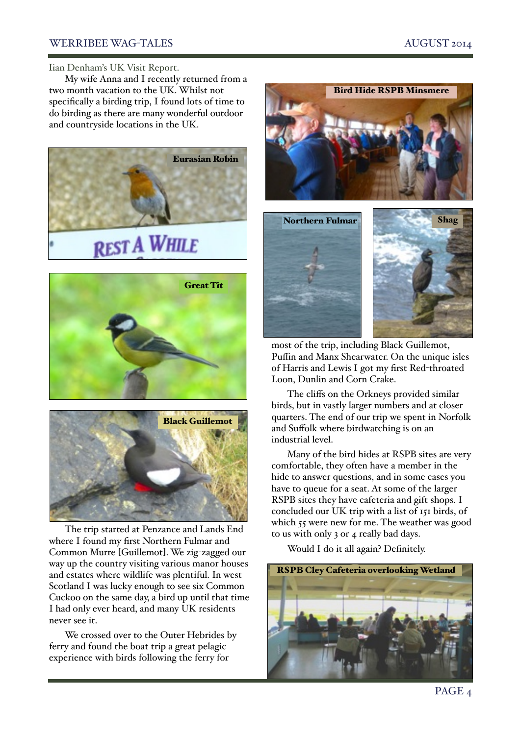#### WERRIBEE WAG-TALES AUGUST 2014

#### Iian Denham's UK Visit Report.

My wife Anna and I recently returned from a two month vacation to the UK. Whilst not specifically a birding trip, I found lots of time to do birding as there are many wonderful outdoor and countryside locations in the UK.







The trip started at Penzance and Lands End where I found my first Northern Fulmar and Common Murre [Guillemot]. We zig-zagged our way up the country visiting various manor houses and estates where wildlife was plentiful. In west Scotland I was lucky enough to see six Common Cuckoo on the same day, a bird up until that time I had only ever heard, and many UK residents never see it.

We crossed over to the Outer Hebrides by ferry and found the boat trip a great pelagic experience with birds following the ferry for



most of the trip, including Black Guillemot, Puffin and Manx Shearwater. On the unique isles of Harris and Lewis I got my first Red-throated Loon, Dunlin and Corn Crake.

The cliffs on the Orkneys provided similar birds, but in vastly larger numbers and at closer quarters. The end of our trip we spent in Norfolk and Suffolk where birdwatching is on an industrial level.

Many of the bird hides at RSPB sites are very comfortable, they often have a member in the hide to answer questions, and in some cases you have to queue for a seat. At some of the larger RSPB sites they have cafeteria and gift shops. I concluded our UK trip with a list of 151 birds, of which 55 were new for me. The weather was good to us with only 3 or 4 really bad days.

Would I do it all again? Definitely.

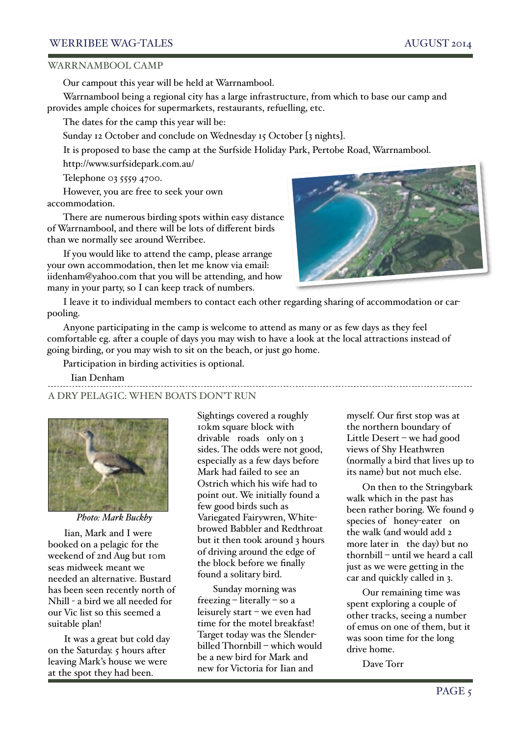#### WERRIBEE WAG-TALES AUGUST 2014

#### WARRNAMBOOL CAMP

Our campout this year will be held at Warrnambool.

Warrnambool being a regional city has a large infrastructure, from which to base our camp and provides ample choices for supermarkets, restaurants, refuelling, etc.

The dates for the camp this year will be:

Sunday 12 October and conclude on Wednesday 15 October [3 nights].

It is proposed to base the camp at the Surfside Holiday Park, Pertobe Road, Warrnambool.

<http://www.surfsidepark.com.au/>

Telephone 03 5559 4700.

However, you are free to seek your own accommodation.

There are numerous birding spots within easy distance of Warrnambool, and there will be lots of different birds than we normally see around Werribee.

If you would like to attend the camp, please arrange your own accommodation, then let me know via email: [iidenham@yahoo.com](mailto:iidenham@yahoo.com) that you will be attending, and how many in your party, so I can keep track of numbers.



I leave it to individual members to contact each other regarding sharing of accommodation or carpooling.

Anyone participating in the camp is welcome to attend as many or as few days as they feel comfortable eg. after a couple of days you may wish to have a look at the local attractions instead of going birding, or you may wish to sit on the beach, or just go home. !

Participation in birding activities is optional.

Iian Denham

A DRY PELAGIC: WHEN BOATS DON'T RUN



*Photo: Mark Buckby*

Iian, Mark and I were booked on a pelagic for the weekend of 2nd Aug but 10m seas midweek meant we needed an alternative. Bustard has been seen recently north of Nhill - a bird we all needed for our Vic list so this seemed a suitable plan!

It was a great but cold day on the Saturday. 5 hours after leaving Mark's house we were at the spot they had been.

Sightings covered a roughly 10km square block with drivable roads only on 3 sides. The odds were not good, especially as a few days before Mark had failed to see an Ostrich which his wife had to point out. We initially found a few good birds such as Variegated Fairywren, Whitebrowed Babbler and Redthroat but it then took around 3 hours of driving around the edge of the block before we finally found a solitary bird.

Sunday morning was freezing – literally – so a leisurely start – we even had time for the motel breakfast! Target today was the Slenderbilled Thornbill – which would be a new bird for Mark and new for Victoria for Iian and

myself. Our first stop was at the northern boundary of Little Desert – we had good views of Shy Heathwren (normally a bird that lives up to its name) but not much else.

On then to the Stringybark walk which in the past has been rather boring. We found 9 species of honey-eater on the walk (and would add 2 more later in the day) but no thornbill – until we heard a call just as we were getting in the car and quickly called in 3.

Our remaining time was spent exploring a couple of other tracks, seeing a number of emus on one of them, but it was soon time for the long drive home.

Dave Torr